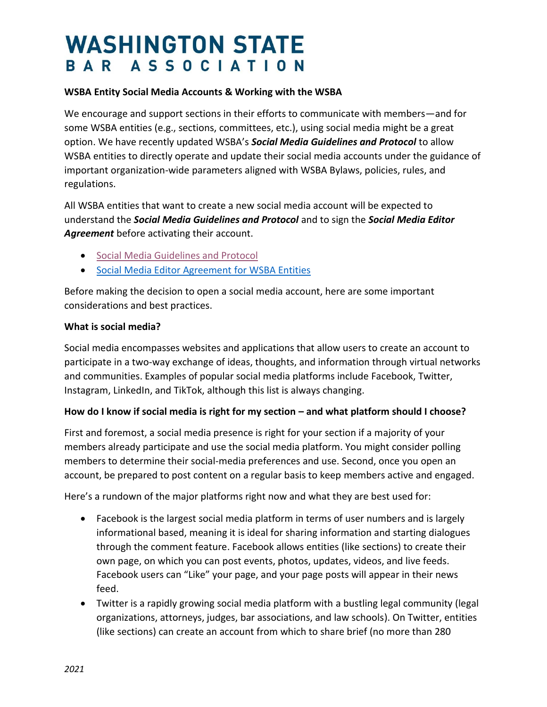# **WASHINGTON STATE** BAR ASSOCIATION

### **WSBA Entity Social Media Accounts & Working with the WSBA**

We encourage and support sections in their efforts to communicate with members—and for some WSBA entities (e.g., sections, committees, etc.), using social media might be a great option. We have recently updated WSBA's *Social Media Guidelines and Protocol* to allow WSBA entities to directly operate and update their social media accounts under the guidance of important organization-wide parameters aligned with WSBA Bylaws, policies, rules, and regulations.

All WSBA entities that want to create a new social media account will be expected to understand the *Social Media Guidelines and Protocol* and to sign the *Social Media Editor Agreement* before activating their account.

- **•** [Social Media Guidelines and Protocol](https://www.wsba.org/docs/default-source/legal-community/volunteer/volunteer-toolbox/wsba-social-media-guidelines-and-protocol_2020)
- [Social Media Editor Agreement](https://www.wsba.org/docs/default-source/legal-community/volunteer/volunteer-toolbox/social-media-editor-agreement-for-wsba-entities) for WSBA Entities

Before making the decision to open a social media account, here are some important considerations and best practices.

### **What is social media?**

Social media encompasses websites and applications that allow users to create an account to participate in a two-way exchange of ideas, thoughts, and information through virtual networks and communities. Examples of popular social media platforms include Facebook, Twitter, Instagram, LinkedIn, and TikTok, although this list is always changing.

### **How do I know if social media is right for my section – and what platform should I choose?**

First and foremost, a social media presence is right for your section if a majority of your members already participate and use the social media platform. You might consider polling members to determine their social-media preferences and use. Second, once you open an account, be prepared to post content on a regular basis to keep members active and engaged.

Here's a rundown of the major platforms right now and what they are best used for:

- Facebook is the largest social media platform in terms of user numbers and is largely informational based, meaning it is ideal for sharing information and starting dialogues through the comment feature. Facebook allows entities (like sections) to create their own page, on which you can post events, photos, updates, videos, and live feeds. Facebook users can "Like" your page, and your page posts will appear in their news feed.
- Twitter is a rapidly growing social media platform with a bustling legal community (legal organizations, attorneys, judges, bar associations, and law schools). On Twitter, entities (like sections) can create an account from which to share brief (no more than 280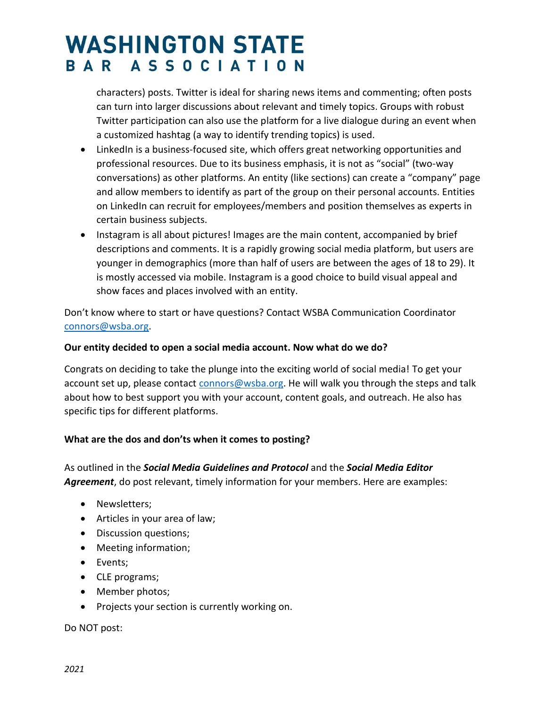# **WASHINGTON STATE** BAR ASSOCIATION

characters) posts. Twitter is ideal for sharing news items and commenting; often posts can turn into larger discussions about relevant and timely topics. Groups with robust Twitter participation can also use the platform for a live dialogue during an event when a customized hashtag (a way to identify trending topics) is used.

- LinkedIn is a business-focused site, which offers great networking opportunities and professional resources. Due to its business emphasis, it is not as "social" (two-way conversations) as other platforms. An entity (like sections) can create a "company" page and allow members to identify as part of the group on their personal accounts. Entities on LinkedIn can recruit for employees/members and position themselves as experts in certain business subjects.
- Instagram is all about pictures! Images are the main content, accompanied by brief descriptions and comments. It is a rapidly growing social media platform, but users are younger in demographics (more than half of users are between the ages of 18 to 29). It is mostly accessed via mobile. Instagram is a good choice to build visual appeal and show faces and places involved with an entity.

Don't know where to start or have questions? Contact WSBA Communication Coordinator [connors@wsba.org.](mailto:connors@wsba.org)

## **Our entity decided to open a social media account. Now what do we do?**

Congrats on deciding to take the plunge into the exciting world of social media! To get your account set up, please contact [connors@wsba.org.](mailto:ConnorS@wsba.org) He will walk you through the steps and talk about how to best support you with your account, content goals, and outreach. He also has specific tips for different platforms.

# **What are the dos and don'ts when it comes to posting?**

As outlined in the *Social Media Guidelines and Protocol* and the *Social Media Editor Agreement*, do post relevant, timely information for your members. Here are examples:

- Newsletters;
- Articles in your area of law;
- Discussion questions;
- Meeting information;
- Events;
- CLE programs;
- Member photos;
- Projects your section is currently working on.

Do NOT post: